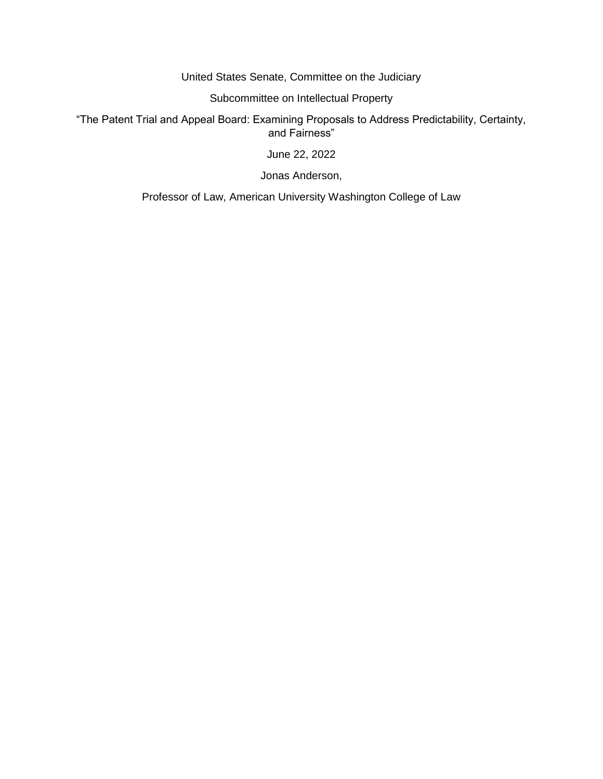United States Senate, Committee on the Judiciary

Subcommittee on Intellectual Property

"The Patent Trial and Appeal Board: Examining Proposals to Address Predictability, Certainty, and Fairness"

June 22, 2022

Jonas Anderson,

Professor of Law, American University Washington College of Law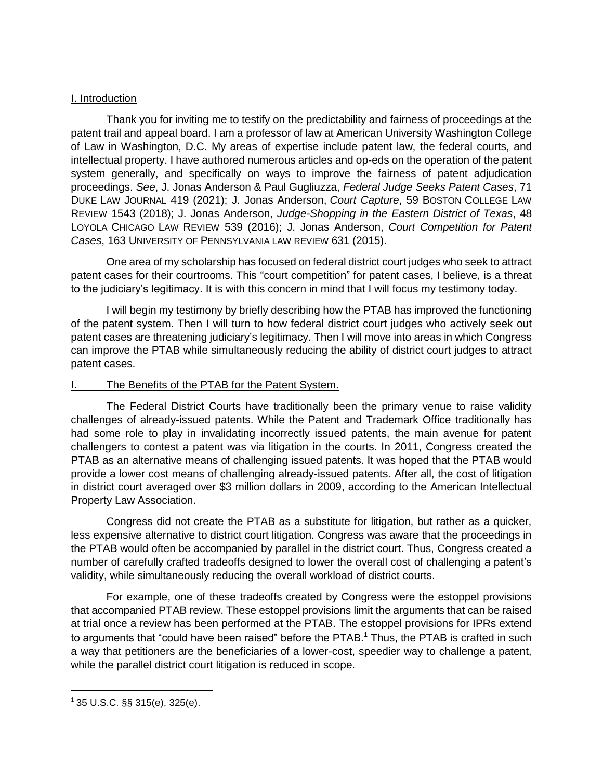#### I. Introduction

Thank you for inviting me to testify on the predictability and fairness of proceedings at the patent trail and appeal board. I am a professor of law at American University Washington College of Law in Washington, D.C. My areas of expertise include patent law, the federal courts, and intellectual property. I have authored numerous articles and op-eds on the operation of the patent system generally, and specifically on ways to improve the fairness of patent adjudication proceedings. *See*, J. Jonas Anderson & Paul Gugliuzza, *Federal Judge Seeks Patent Cases*, 71 DUKE LAW JOURNAL 419 (2021); J. Jonas Anderson, *Court Capture*, 59 BOSTON COLLEGE LAW REVIEW 1543 (2018); J. Jonas Anderson, *Judge-Shopping in the Eastern District of Texas*, 48 LOYOLA CHICAGO LAW REVIEW 539 (2016); J. Jonas Anderson, *Court Competition for Patent Cases*, 163 UNIVERSITY OF PENNSYLVANIA LAW REVIEW 631 (2015).

One area of my scholarship has focused on federal district court judges who seek to attract patent cases for their courtrooms. This "court competition" for patent cases, I believe, is a threat to the judiciary's legitimacy. It is with this concern in mind that I will focus my testimony today.

I will begin my testimony by briefly describing how the PTAB has improved the functioning of the patent system. Then I will turn to how federal district court judges who actively seek out patent cases are threatening judiciary's legitimacy. Then I will move into areas in which Congress can improve the PTAB while simultaneously reducing the ability of district court judges to attract patent cases.

### The Benefits of the PTAB for the Patent System.

The Federal District Courts have traditionally been the primary venue to raise validity challenges of already-issued patents. While the Patent and Trademark Office traditionally has had some role to play in invalidating incorrectly issued patents, the main avenue for patent challengers to contest a patent was via litigation in the courts. In 2011, Congress created the PTAB as an alternative means of challenging issued patents. It was hoped that the PTAB would provide a lower cost means of challenging already-issued patents. After all, the cost of litigation in district court averaged over \$3 million dollars in 2009, according to the American Intellectual Property Law Association.

Congress did not create the PTAB as a substitute for litigation, but rather as a quicker, less expensive alternative to district court litigation. Congress was aware that the proceedings in the PTAB would often be accompanied by parallel in the district court. Thus, Congress created a number of carefully crafted tradeoffs designed to lower the overall cost of challenging a patent's validity, while simultaneously reducing the overall workload of district courts.

For example, one of these tradeoffs created by Congress were the estoppel provisions that accompanied PTAB review. These estoppel provisions limit the arguments that can be raised at trial once a review has been performed at the PTAB. The estoppel provisions for IPRs extend to arguments that "could have been raised" before the  $PTAB$ <sup>1</sup> Thus, the PTAB is crafted in such a way that petitioners are the beneficiaries of a lower-cost, speedier way to challenge a patent, while the parallel district court litigation is reduced in scope.

 $\overline{a}$ 

 $1$  35 U.S.C. §§ 315(e), 325(e).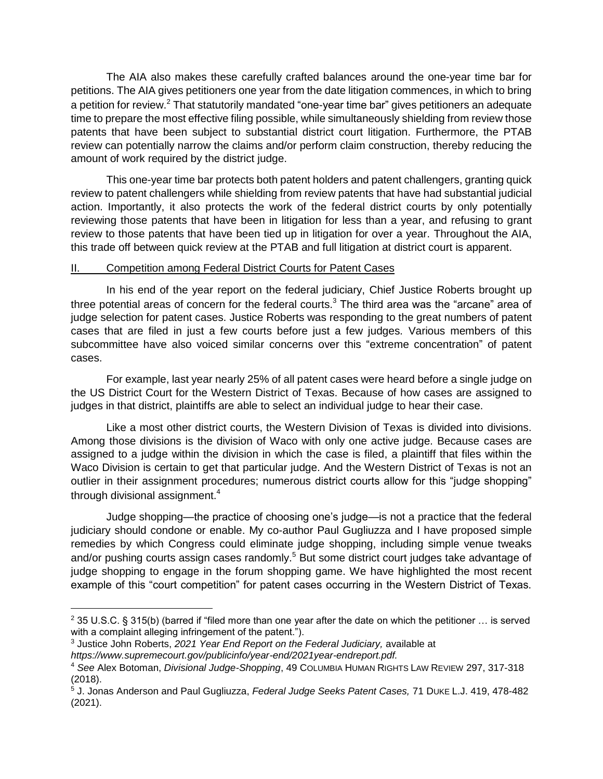The AIA also makes these carefully crafted balances around the one-year time bar for petitions. The AIA gives petitioners one year from the date litigation commences, in which to bring a petition for review.<sup>2</sup> That statutorily mandated "one-year time bar" gives petitioners an adequate time to prepare the most effective filing possible, while simultaneously shielding from review those patents that have been subject to substantial district court litigation. Furthermore, the PTAB review can potentially narrow the claims and/or perform claim construction, thereby reducing the amount of work required by the district judge.

This one-year time bar protects both patent holders and patent challengers, granting quick review to patent challengers while shielding from review patents that have had substantial judicial action. Importantly, it also protects the work of the federal district courts by only potentially reviewing those patents that have been in litigation for less than a year, and refusing to grant review to those patents that have been tied up in litigation for over a year. Throughout the AIA, this trade off between quick review at the PTAB and full litigation at district court is apparent.

### II. Competition among Federal District Courts for Patent Cases

In his end of the year report on the federal judiciary, Chief Justice Roberts brought up three potential areas of concern for the federal courts. $3$  The third area was the "arcane" area of judge selection for patent cases. Justice Roberts was responding to the great numbers of patent cases that are filed in just a few courts before just a few judges. Various members of this subcommittee have also voiced similar concerns over this "extreme concentration" of patent cases.

For example, last year nearly 25% of all patent cases were heard before a single judge on the US District Court for the Western District of Texas. Because of how cases are assigned to judges in that district, plaintiffs are able to select an individual judge to hear their case.

Like a most other district courts, the Western Division of Texas is divided into divisions. Among those divisions is the division of Waco with only one active judge. Because cases are assigned to a judge within the division in which the case is filed, a plaintiff that files within the Waco Division is certain to get that particular judge. And the Western District of Texas is not an outlier in their assignment procedures; numerous district courts allow for this "judge shopping" through divisional assignment. $4$ 

Judge shopping—the practice of choosing one's judge—is not a practice that the federal judiciary should condone or enable. My co-author Paul Gugliuzza and I have proposed simple remedies by which Congress could eliminate judge shopping, including simple venue tweaks and/or pushing courts assign cases randomly.<sup>5</sup> But some district court judges take advantage of judge shopping to engage in the forum shopping game. We have highlighted the most recent example of this "court competition" for patent cases occurring in the Western District of Texas.

<sup>&</sup>lt;sup>2</sup> 35 U.S.C. § 315(b) (barred if "filed more than one year after the date on which the petitioner ... is served with a complaint alleging infringement of the patent.").

<sup>3</sup> Justice John Roberts, *2021 Year End Report on the Federal Judiciary,* available at *https://www.supremecourt.gov/publicinfo/year-end/2021year-endreport.pdf.*

<sup>4</sup> *See* Alex Botoman, *Divisional Judge-Shopping*, 49 COLUMBIA HUMAN RIGHTS LAW REVIEW 297, 317-318 (2018).

<sup>5</sup> J. Jonas Anderson and Paul Gugliuzza, *Federal Judge Seeks Patent Cases,* 71 DUKE L.J. 419, 478-482 (2021).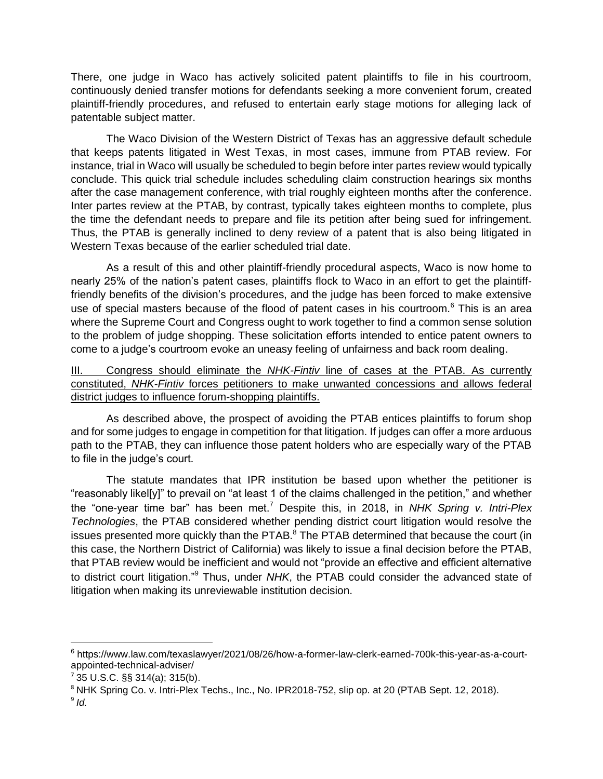There, one judge in Waco has actively solicited patent plaintiffs to file in his courtroom, continuously denied transfer motions for defendants seeking a more convenient forum, created plaintiff-friendly procedures, and refused to entertain early stage motions for alleging lack of patentable subject matter.

The Waco Division of the Western District of Texas has an aggressive default schedule that keeps patents litigated in West Texas, in most cases, immune from PTAB review. For instance, trial in Waco will usually be scheduled to begin before inter partes review would typically conclude. This quick trial schedule includes scheduling claim construction hearings six months after the case management conference, with trial roughly eighteen months after the conference. Inter partes review at the PTAB, by contrast, typically takes eighteen months to complete, plus the time the defendant needs to prepare and file its petition after being sued for infringement. Thus, the PTAB is generally inclined to deny review of a patent that is also being litigated in Western Texas because of the earlier scheduled trial date.

As a result of this and other plaintiff-friendly procedural aspects, Waco is now home to nearly 25% of the nation's patent cases, plaintiffs flock to Waco in an effort to get the plaintifffriendly benefits of the division's procedures, and the judge has been forced to make extensive use of special masters because of the flood of patent cases in his courtroom.<sup>6</sup> This is an area where the Supreme Court and Congress ought to work together to find a common sense solution to the problem of judge shopping. These solicitation efforts intended to entice patent owners to come to a judge's courtroom evoke an uneasy feeling of unfairness and back room dealing.

# III. Congress should eliminate the *NHK-Fintiv* line of cases at the PTAB. As currently constituted, *NHK-Fintiv* forces petitioners to make unwanted concessions and allows federal district judges to influence forum-shopping plaintiffs.

As described above, the prospect of avoiding the PTAB entices plaintiffs to forum shop and for some judges to engage in competition for that litigation. If judges can offer a more arduous path to the PTAB, they can influence those patent holders who are especially wary of the PTAB to file in the judge's court.

The statute mandates that IPR institution be based upon whether the petitioner is "reasonably likel[y]" to prevail on "at least 1 of the claims challenged in the petition," and whether the "one-year time bar" has been met.<sup>7</sup> Despite this, in 2018, in *NHK Spring v. Intri-Plex Technologies*, the PTAB considered whether pending district court litigation would resolve the issues presented more quickly than the  $PTAB$ .<sup>8</sup> The PTAB determined that because the court (in this case, the Northern District of California) was likely to issue a final decision before the PTAB, that PTAB review would be inefficient and would not "provide an effective and efficient alternative to district court litigation."<sup>9</sup> Thus, under *NHK*, the PTAB could consider the advanced state of litigation when making its unreviewable institution decision.

<sup>6</sup> https://www.law.com/texaslawyer/2021/08/26/how-a-former-law-clerk-earned-700k-this-year-as-a-courtappointed-technical-adviser/

 $7$  35 U.S.C. §§ 314(a); 315(b).

<sup>8</sup> NHK Spring Co. v. Intri-Plex Techs., Inc., No. IPR2018-752, slip op. at 20 (PTAB Sept. 12, 2018).

<sup>9</sup> *Id.*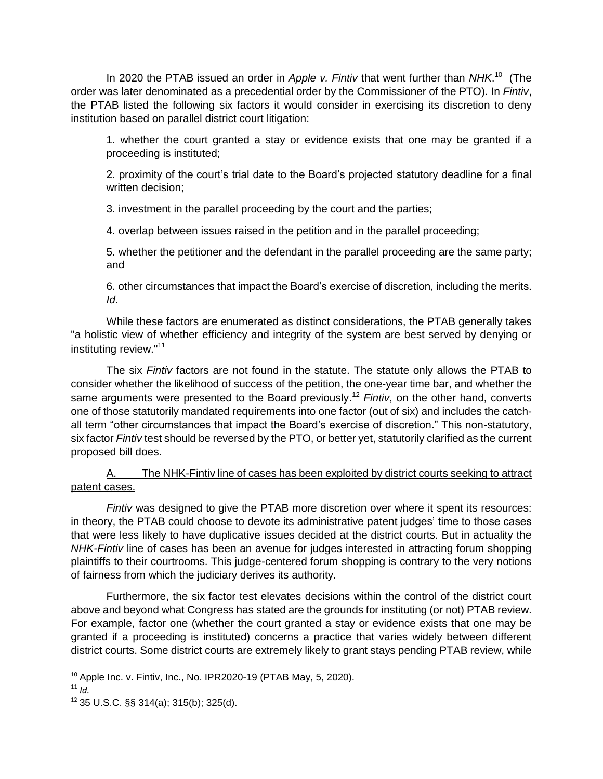In 2020 the PTAB issued an order in *Apple v. Fintiv* that went further than *NHK*. <sup>10</sup> (The order was later denominated as a precedential order by the Commissioner of the PTO). In *Fintiv*, the PTAB listed the following six factors it would consider in exercising its discretion to deny institution based on parallel district court litigation:

1. whether the court granted a stay or evidence exists that one may be granted if a proceeding is instituted;

2. proximity of the court's trial date to the Board's projected statutory deadline for a final written decision;

3. investment in the parallel proceeding by the court and the parties;

4. overlap between issues raised in the petition and in the parallel proceeding;

5. whether the petitioner and the defendant in the parallel proceeding are the same party; and

6. other circumstances that impact the Board's exercise of discretion, including the merits. *Id*.

While these factors are enumerated as distinct considerations, the PTAB generally takes "a holistic view of whether efficiency and integrity of the system are best served by denying or instituting review."<sup>11</sup>

The six *Fintiv* factors are not found in the statute. The statute only allows the PTAB to consider whether the likelihood of success of the petition, the one-year time bar, and whether the same arguments were presented to the Board previously. <sup>12</sup> *Fintiv*, on the other hand, converts one of those statutorily mandated requirements into one factor (out of six) and includes the catchall term "other circumstances that impact the Board's exercise of discretion." This non-statutory, six factor *Fintiv* test should be reversed by the PTO, or better yet, statutorily clarified as the current proposed bill does.

# A. The NHK-Fintiv line of cases has been exploited by district courts seeking to attract patent cases.

*Fintiv* was designed to give the PTAB more discretion over where it spent its resources: in theory, the PTAB could choose to devote its administrative patent judges' time to those cases that were less likely to have duplicative issues decided at the district courts. But in actuality the *NHK-Fintiv* line of cases has been an avenue for judges interested in attracting forum shopping plaintiffs to their courtrooms. This judge-centered forum shopping is contrary to the very notions of fairness from which the judiciary derives its authority.

Furthermore, the six factor test elevates decisions within the control of the district court above and beyond what Congress has stated are the grounds for instituting (or not) PTAB review. For example, factor one (whether the court granted a stay or evidence exists that one may be granted if a proceeding is instituted) concerns a practice that varies widely between different district courts. Some district courts are extremely likely to grant stays pending PTAB review, while

 $10$  Apple Inc. v. Fintiv, Inc., No. IPR2020-19 (PTAB May, 5, 2020).

 $11$  *Id.* 

 $12$  35 U.S.C. §§ 314(a); 315(b); 325(d).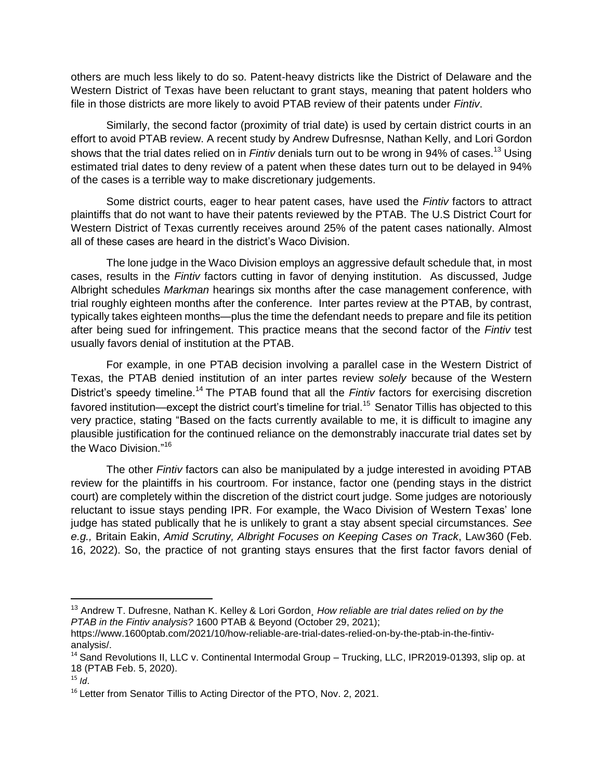others are much less likely to do so. Patent-heavy districts like the District of Delaware and the Western District of Texas have been reluctant to grant stays, meaning that patent holders who file in those districts are more likely to avoid PTAB review of their patents under *Fintiv*.

Similarly, the second factor (proximity of trial date) is used by certain district courts in an effort to avoid PTAB review. A recent study by Andrew Dufresnse, Nathan Kelly, and Lori Gordon shows that the trial dates relied on in *Fintiv* denials turn out to be wrong in 94% of cases.<sup>13</sup> Using estimated trial dates to deny review of a patent when these dates turn out to be delayed in 94% of the cases is a terrible way to make discretionary judgements.

Some district courts, eager to hear patent cases, have used the *Fintiv* factors to attract plaintiffs that do not want to have their patents reviewed by the PTAB. The U.S District Court for Western District of Texas currently receives around 25% of the patent cases nationally. Almost all of these cases are heard in the district's Waco Division.

The lone judge in the Waco Division employs an aggressive default schedule that, in most cases, results in the *Fintiv* factors cutting in favor of denying institution. As discussed, Judge Albright schedules *Markman* hearings six months after the case management conference, with trial roughly eighteen months after the conference. Inter partes review at the PTAB, by contrast, typically takes eighteen months—plus the time the defendant needs to prepare and file its petition after being sued for infringement. This practice means that the second factor of the *Fintiv* test usually favors denial of institution at the PTAB.

For example, in one PTAB decision involving a parallel case in the Western District of Texas, the PTAB denied institution of an inter partes review *solely* because of the Western District's speedy timeline.<sup>14</sup> The PTAB found that all the *Fintiv* factors for exercising discretion favored institution—except the district court's timeline for trial.<sup>15</sup> Senator Tillis has objected to this very practice, stating "Based on the facts currently available to me, it is difficult to imagine any plausible justification for the continued reliance on the demonstrably inaccurate trial dates set by the Waco Division." 16

The other *Fintiv* factors can also be manipulated by a judge interested in avoiding PTAB review for the plaintiffs in his courtroom. For instance, factor one (pending stays in the district court) are completely within the discretion of the district court judge. Some judges are notoriously reluctant to issue stays pending IPR. For example, the Waco Division of Western Texas' lone judge has stated publically that he is unlikely to grant a stay absent special circumstances. *See e.g.,* Britain Eakin, *Amid Scrutiny, Albright Focuses on Keeping Cases on Track*, LAW360 (Feb. 16, 2022). So, the practice of not granting stays ensures that the first factor favors denial of

 $\overline{a}$ 

<sup>13</sup> Andrew T. Dufresne, Nathan K. Kelley & Lori Gordon¸ *How reliable are trial dates relied on by the PTAB in the Fintiv analysis?* 1600 PTAB & Beyond (October 29, 2021);

https://www.1600ptab.com/2021/10/how-reliable-are-trial-dates-relied-on-by-the-ptab-in-the-fintivanalysis/.

<sup>&</sup>lt;sup>14</sup> Sand Revolutions II, LLC v. Continental Intermodal Group – Trucking, LLC, IPR2019-01393, slip op. at 18 (PTAB Feb. 5, 2020).

 $15$  *Id.* 

<sup>&</sup>lt;sup>16</sup> Letter from Senator Tillis to Acting Director of the PTO, Nov. 2, 2021.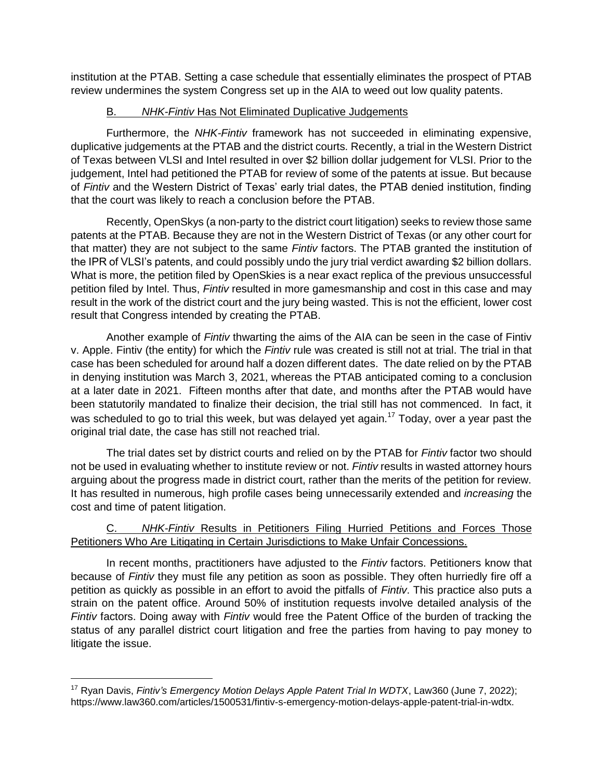institution at the PTAB. Setting a case schedule that essentially eliminates the prospect of PTAB review undermines the system Congress set up in the AIA to weed out low quality patents.

# B. *NHK-Fintiv* Has Not Eliminated Duplicative Judgements

Furthermore, the *NHK-Fintiv* framework has not succeeded in eliminating expensive, duplicative judgements at the PTAB and the district courts. Recently, a trial in the Western District of Texas between VLSI and Intel resulted in over \$2 billion dollar judgement for VLSI. Prior to the judgement, Intel had petitioned the PTAB for review of some of the patents at issue. But because of *Fintiv* and the Western District of Texas' early trial dates, the PTAB denied institution, finding that the court was likely to reach a conclusion before the PTAB.

Recently, OpenSkys (a non-party to the district court litigation) seeks to review those same patents at the PTAB. Because they are not in the Western District of Texas (or any other court for that matter) they are not subject to the same *Fintiv* factors. The PTAB granted the institution of the IPR of VLSI's patents, and could possibly undo the jury trial verdict awarding \$2 billion dollars. What is more, the petition filed by OpenSkies is a near exact replica of the previous unsuccessful petition filed by Intel. Thus, *Fintiv* resulted in more gamesmanship and cost in this case and may result in the work of the district court and the jury being wasted. This is not the efficient, lower cost result that Congress intended by creating the PTAB.

Another example of *Fintiv* thwarting the aims of the AIA can be seen in the case of Fintiv v. Apple. Fintiv (the entity) for which the *Fintiv* rule was created is still not at trial. The trial in that case has been scheduled for around half a dozen different dates. The date relied on by the PTAB in denying institution was March 3, 2021, whereas the PTAB anticipated coming to a conclusion at a later date in 2021. Fifteen months after that date, and months after the PTAB would have been statutorily mandated to finalize their decision, the trial still has not commenced. In fact, it was scheduled to go to trial this week, but was delayed yet again.<sup>17</sup> Today, over a year past the original trial date, the case has still not reached trial.

The trial dates set by district courts and relied on by the PTAB for *Fintiv* factor two should not be used in evaluating whether to institute review or not. *Fintiv* results in wasted attorney hours arguing about the progress made in district court, rather than the merits of the petition for review. It has resulted in numerous, high profile cases being unnecessarily extended and *increasing* the cost and time of patent litigation.

# C. *NHK-Fintiv* Results in Petitioners Filing Hurried Petitions and Forces Those Petitioners Who Are Litigating in Certain Jurisdictions to Make Unfair Concessions.

In recent months, practitioners have adjusted to the *Fintiv* factors. Petitioners know that because of *Fintiv* they must file any petition as soon as possible. They often hurriedly fire off a petition as quickly as possible in an effort to avoid the pitfalls of *Fintiv*. This practice also puts a strain on the patent office. Around 50% of institution requests involve detailed analysis of the *Fintiv* factors. Doing away with *Fintiv* would free the Patent Office of the burden of tracking the status of any parallel district court litigation and free the parties from having to pay money to litigate the issue.

<sup>17</sup> Ryan Davis, *Fintiv's Emergency Motion Delays Apple Patent Trial In WDTX*, Law360 (June 7, 2022); https://www.law360.com/articles/1500531/fintiv-s-emergency-motion-delays-apple-patent-trial-in-wdtx.